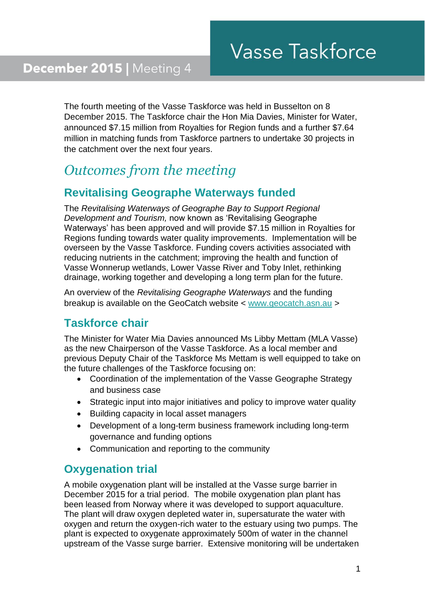The fourth meeting of the Vasse Taskforce was held in Busselton on 8 December 2015. The Taskforce chair the Hon Mia Davies, Minister for Water, announced \$7.15 million from Royalties for Region funds and a further \$7.64 million in matching funds from Taskforce partners to undertake 30 projects in the catchment over the next four years.

# *Outcomes from the meeting*

## **Revitalising Geographe Waterways funded**

The *Revitalising Waterways of Geographe Bay to Support Regional Development and Tourism,* now known as 'Revitalising Geographe Waterways' has been approved and will provide \$7.15 million in Royalties for Regions funding towards water quality improvements. Implementation will be overseen by the Vasse Taskforce. Funding covers activities associated with reducing nutrients in the catchment; improving the health and function of Vasse Wonnerup wetlands, Lower Vasse River and Toby Inlet, rethinking drainage, working together and developing a long term plan for the future.

An overview of the *Revitalising Geographe Waterways* and the funding breakup is available on the GeoCatch website < [www.geocatch.asn.au](http://www.geocatch.asn.au/) >

## **Taskforce chair**

The Minister for Water Mia Davies announced Ms Libby Mettam (MLA Vasse) as the new Chairperson of the Vasse Taskforce. As a local member and previous Deputy Chair of the Taskforce Ms Mettam is well equipped to take on the future challenges of the Taskforce focusing on:

- Coordination of the implementation of the Vasse Geographe Strategy and business case
- Strategic input into major initiatives and policy to improve water quality
- Building capacity in local asset managers
- Development of a long-term business framework including long-term governance and funding options
- Communication and reporting to the community

#### **Oxygenation trial**

A mobile oxygenation plant will be installed at the Vasse surge barrier in December 2015 for a trial period. The mobile oxygenation plan plant has been leased from Norway where it was developed to support aquaculture. The plant will draw oxygen depleted water in, supersaturate the water with oxygen and return the oxygen-rich water to the estuary using two pumps. The plant is expected to oxygenate approximately 500m of water in the channel upstream of the Vasse surge barrier. Extensive monitoring will be undertaken